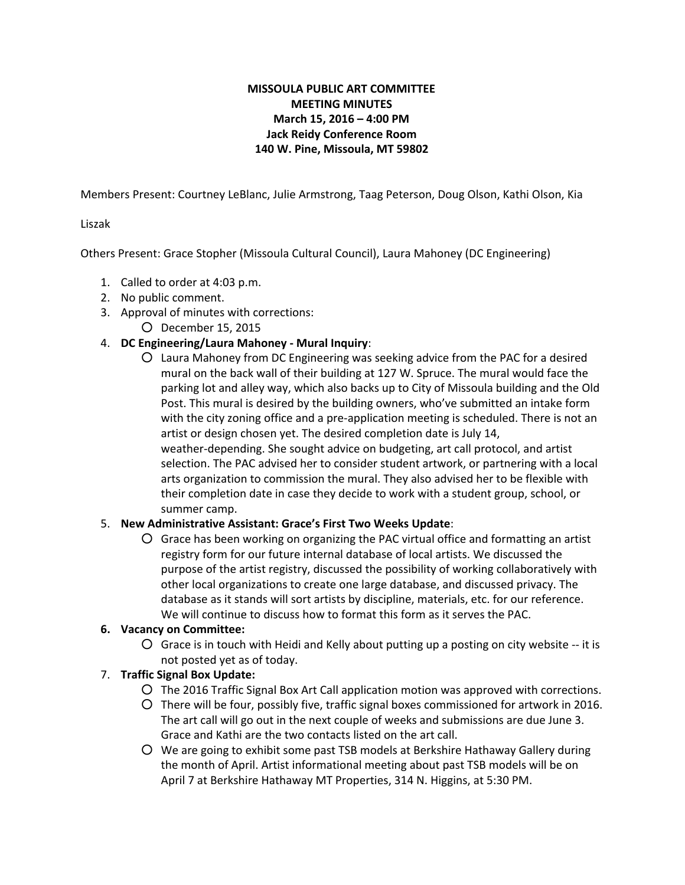# **MISSOULA PUBLIC ART COMMITTEE MEETING MINUTES March 15, 2016 – 4:00 PM Jack Reidy Conference Room 140 W. Pine, Missoula, MT 59802**

Members Present: Courtney LeBlanc, Julie Armstrong, Taag Peterson, Doug Olson, Kathi Olson, Kia

## Liszak

Others Present: Grace Stopher (Missoula Cultural Council), Laura Mahoney (DC Engineering)

- 1. Called to order at 4:03 p.m.
- 2. No public comment.
- 3. Approval of minutes with corrections:
	- December 15, 2015

## 4. **DC Engineering/Laura Mahoney Mural Inquiry**:

○ Laura Mahoney from DC Engineering was seeking advice from the PAC for a desired mural on the back wall of their building at 127 W. Spruce. The mural would face the parking lot and alley way, which also backs up to City of Missoula building and the Old Post. This mural is desired by the building owners, who've submitted an intake form with the city zoning office and a pre-application meeting is scheduled. There is not an artist or design chosen yet. The desired completion date is July 14, weather-depending. She sought advice on budgeting, art call protocol, and artist selection. The PAC advised her to consider student artwork, or partnering with a local arts organization to commission the mural. They also advised her to be flexible with their completion date in case they decide to work with a student group, school, or summer camp.

#### 5. **New Administrative Assistant: Grace's First Two Weeks Update**:

○ Grace has been working on organizing the PAC virtual office and formatting an artist registry form for our future internal database of local artists. We discussed the purpose of the artist registry, discussed the possibility of working collaboratively with other local organizations to create one large database, and discussed privacy. The database as it stands will sort artists by discipline, materials, etc. for our reference. We will continue to discuss how to format this form as it serves the PAC.

#### **6. Vacancy on Committee:**

 $\overline{O}$  Grace is in touch with Heidi and Kelly about putting up a posting on city website  $-$  it is not posted yet as of today.

# 7. **Traffic Signal Box Update:**

- The 2016 Traffic Signal Box Art Call application motion was approved with corrections.
- There will be four, possibly five, traffic signal boxes commissioned for artwork in 2016. The art call will go out in the next couple of weeks and submissions are due June 3. Grace and Kathi are the two contacts listed on the art call.
- We are going to exhibit some past TSB models at Berkshire Hathaway Gallery during the month of April. Artist informational meeting about past TSB models will be on April 7 at Berkshire Hathaway MT Properties, 314 N. Higgins, at 5:30 PM.